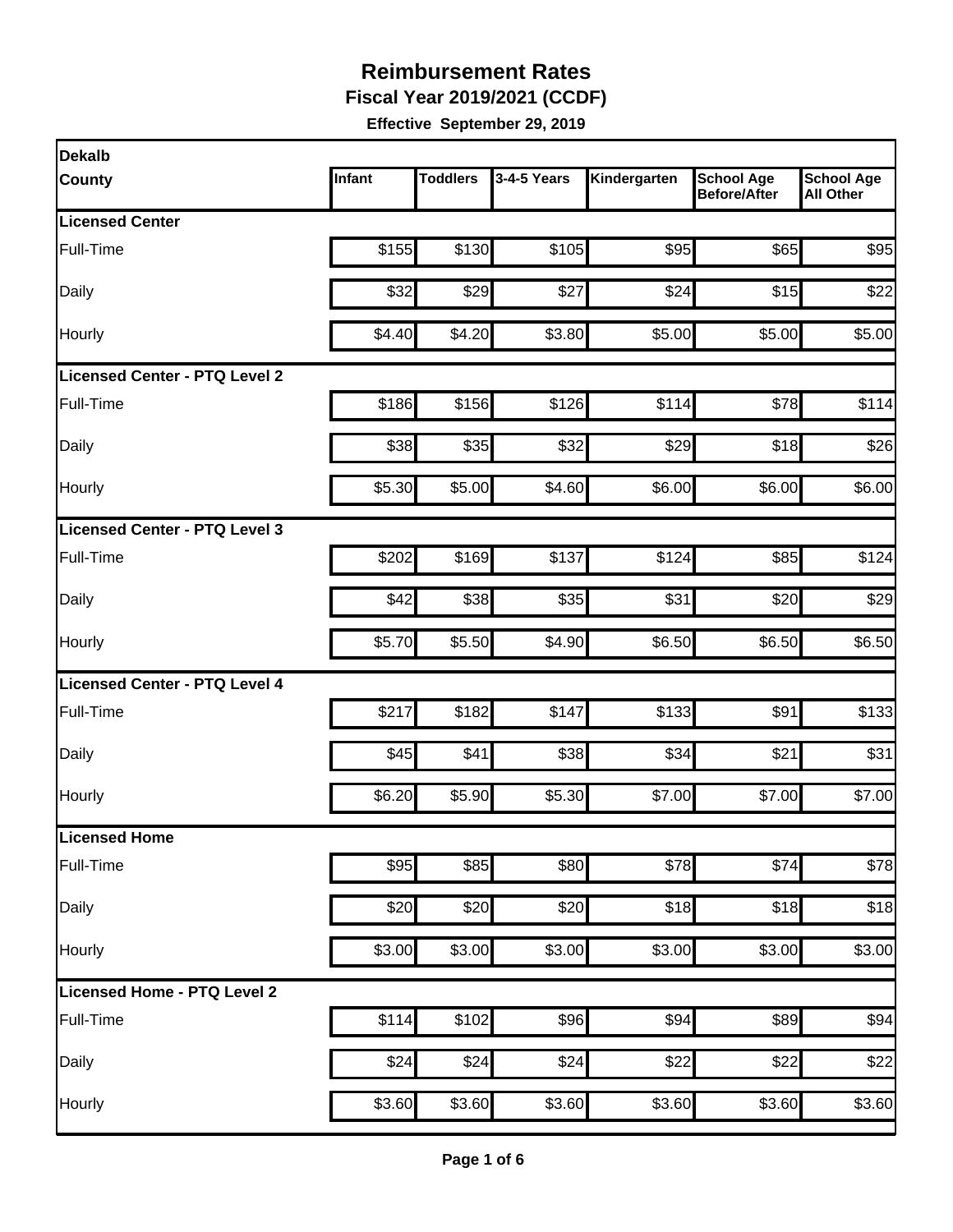**Fiscal Year 2019/2021 (CCDF)** 

| Dekalb                               |        |                 |             |              |                                          |                                       |
|--------------------------------------|--------|-----------------|-------------|--------------|------------------------------------------|---------------------------------------|
| <b>County</b>                        | Infant | <b>Toddlers</b> | 3-4-5 Years | Kindergarten | <b>School Age</b><br><b>Before/After</b> | <b>School Age</b><br><b>All Other</b> |
| <b>Licensed Center</b>               |        |                 |             |              |                                          |                                       |
| Full-Time                            | \$155  | \$130           | \$105       | \$95         | \$65                                     | \$95                                  |
| Daily                                | \$32   | \$29            | \$27        | \$24         | \$15                                     | \$22                                  |
| Hourly                               | \$4.40 | \$4.20          | \$3.80      | \$5.00       | \$5.00                                   | \$5.00                                |
| <b>Licensed Center - PTQ Level 2</b> |        |                 |             |              |                                          |                                       |
| Full-Time                            | \$186  | \$156           | \$126       | \$114        | \$78                                     | \$114                                 |
| Daily                                | \$38   | \$35            | \$32        | \$29         | \$18                                     | \$26                                  |
| <b>Hourly</b>                        | \$5.30 | \$5.00          | \$4.60      | \$6.00       | \$6.00                                   | \$6.00                                |
| Licensed Center - PTQ Level 3        |        |                 |             |              |                                          |                                       |
| Full-Time                            | \$202  | \$169           | \$137       | \$124        | \$85                                     | \$124                                 |
| Daily                                | \$42   | \$38            | \$35        | \$31         | \$20                                     | \$29                                  |
| Hourly                               | \$5.70 | \$5.50          | \$4.90      | \$6.50       | \$6.50                                   | \$6.50                                |
| Licensed Center - PTQ Level 4        |        |                 |             |              |                                          |                                       |
| Full-Time                            | \$217  | \$182           | \$147       | \$133        | \$91                                     | \$133                                 |
| Daily                                | \$45   | \$41            | \$38        | \$34         | \$21                                     | \$31                                  |
| Hourly                               | \$6.20 | \$5.90          | \$5.30      | \$7.00       | \$7.00                                   | \$7.00                                |
| Licensed Home                        |        |                 |             |              |                                          |                                       |
| Full-Time                            | \$95   | \$85            | \$80        | \$78         | \$74                                     | \$78                                  |
| Daily                                | \$20   | \$20            | \$20        | \$18         | \$18                                     | \$18                                  |
| Hourly                               | \$3.00 | \$3.00          | \$3.00      | \$3.00       | \$3.00                                   | \$3.00                                |
| Licensed Home - PTQ Level 2          |        |                 |             |              |                                          |                                       |
| Full-Time                            | \$114  | \$102           | \$96        | \$94         | \$89                                     | \$94                                  |
| Daily                                | \$24   | \$24            | \$24        | \$22         | \$22                                     | \$22                                  |
| Hourly                               | \$3.60 | \$3.60          | \$3.60      | \$3.60       | \$3.60                                   | \$3.60                                |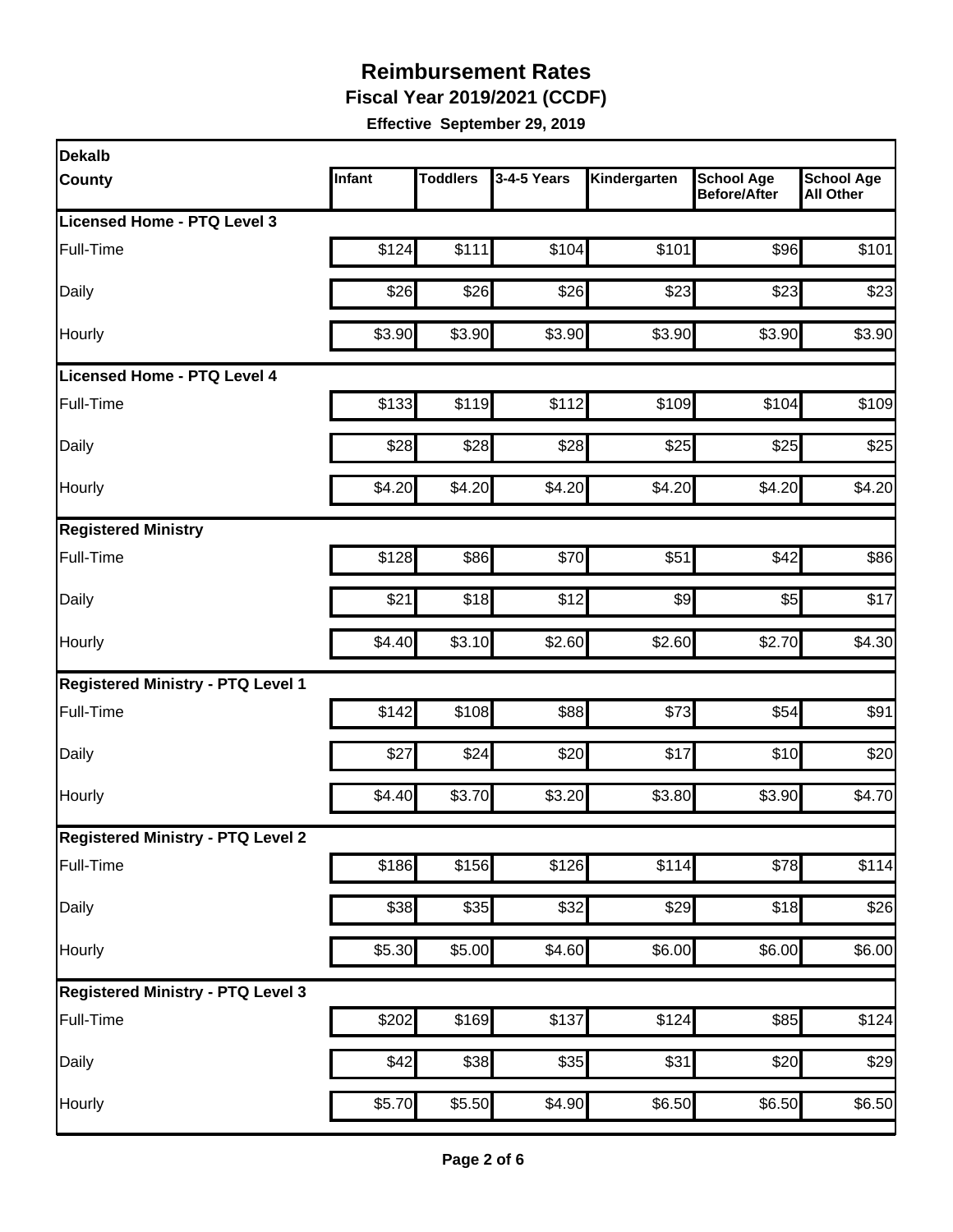**Fiscal Year 2019/2021 (CCDF)** 

| <b>Dekalb</b>                            |        |                 |                   |                    |                                          |                                       |
|------------------------------------------|--------|-----------------|-------------------|--------------------|------------------------------------------|---------------------------------------|
| <b>County</b>                            | Infant | <b>Toddlers</b> | 3-4-5 Years       | Kindergarten       | <b>School Age</b><br><b>Before/After</b> | <b>School Age</b><br><b>All Other</b> |
| <b>Licensed Home - PTQ Level 3</b>       |        |                 |                   |                    |                                          |                                       |
| Full-Time                                | \$124  | \$111           | \$104             | \$101              | \$96                                     | \$101                                 |
| Daily                                    | \$26   | \$26            | \$26              | \$23               | \$23                                     | \$23                                  |
| Hourly                                   | \$3.90 | \$3.90          | \$3.90            | \$3.90             | \$3.90                                   | \$3.90                                |
| Licensed Home - PTQ Level 4              |        |                 |                   |                    |                                          |                                       |
| Full-Time                                | \$133  | \$119           | \$112             | \$109              | \$104                                    | \$109                                 |
| Daily                                    | \$28   | \$28            | \$28              | \$25               | \$25                                     | \$25                                  |
| Hourly                                   | \$4.20 | \$4.20          | \$4.20            | \$4.20             | \$4.20                                   | \$4.20                                |
| <b>Registered Ministry</b>               |        |                 |                   |                    |                                          |                                       |
| Full-Time                                | \$128  | \$86            | \$70              | \$51               | \$42                                     | \$86                                  |
| Daily                                    | \$21   | \$18            | \$12              | \$9                | \$5                                      | \$17                                  |
| Hourly                                   | \$4.40 | \$3.10          | \$2.60            | \$2.60             | \$2.70                                   | \$4.30                                |
| <b>Registered Ministry - PTQ Level 1</b> |        |                 |                   |                    |                                          |                                       |
| Full-Time                                | \$142  | \$108           | \$88              | \$73               | \$54                                     | \$91                                  |
| Daily                                    | \$27   | \$24            | \$20              | \$17               | \$10                                     | \$20                                  |
| Hourly                                   | \$4.40 | \$3.70          | \$3.20            | \$3.80             | \$3.90                                   | \$4.70                                |
| <b>Registered Ministry - PTQ Level 2</b> |        |                 |                   |                    |                                          |                                       |
| Full-Time                                | \$186  | \$156           | $\overline{$}126$ | \$114              | \$78                                     | \$114                                 |
| Daily                                    | \$38   | \$35            | $\overline{$}32$  | \$29               | \$18                                     | \$26                                  |
| Hourly                                   | \$5.30 | \$5.00          | \$4.60            | \$6.00             | \$6.00                                   | \$6.00                                |
| <b>Registered Ministry - PTQ Level 3</b> |        |                 |                   |                    |                                          |                                       |
| Full-Time                                | \$202  | \$169           | \$137             | \$124              | \$85                                     | \$124                                 |
| Daily                                    | \$42   | \$38            | \$35              | \$31               | \$20                                     | \$29                                  |
| Hourly                                   | \$5.70 | \$5.50          | \$4.90            | $\overline{$6.50}$ | \$6.50                                   | \$6.50                                |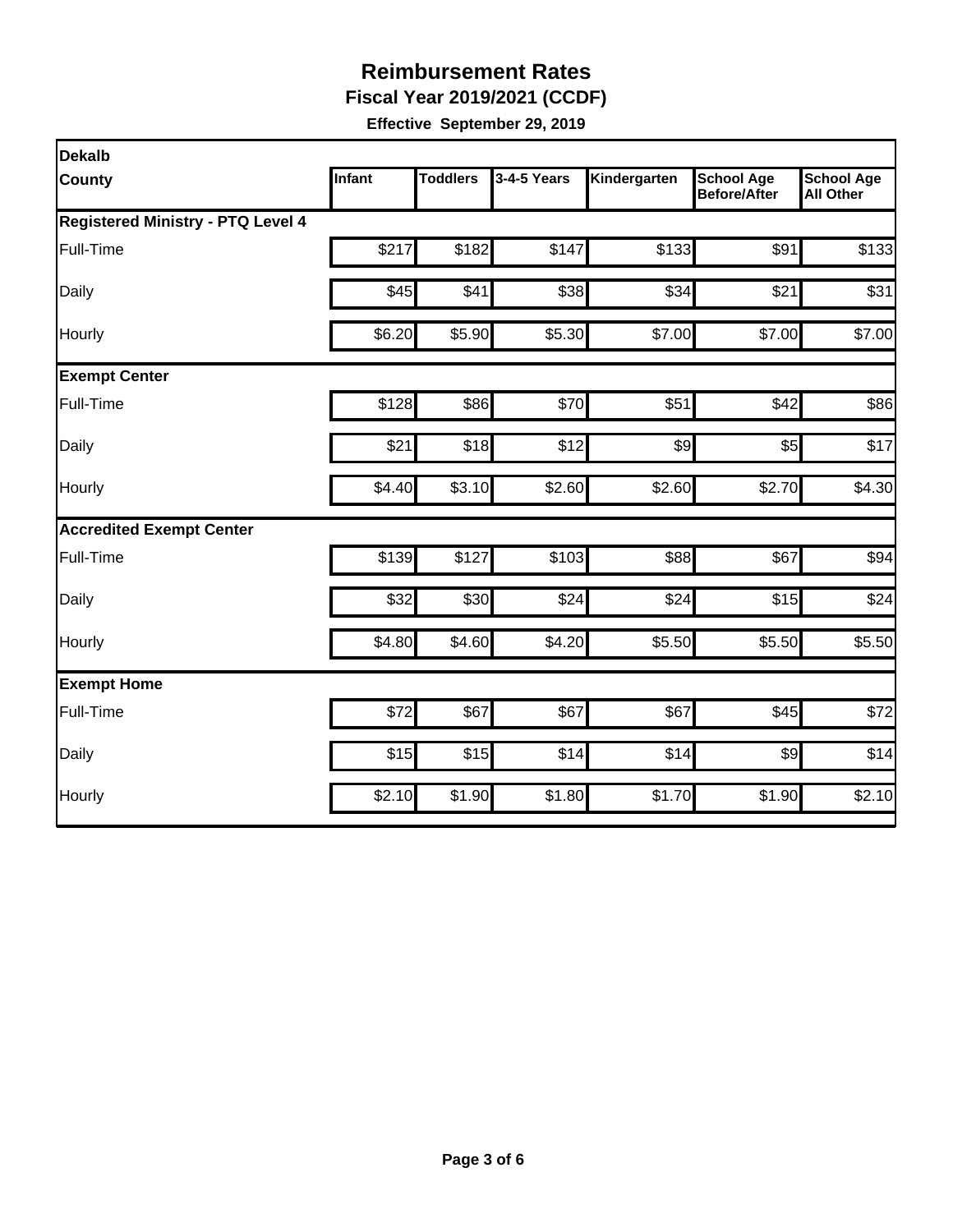**Fiscal Year 2019/2021 (CCDF)** 

| <b>Dekalb</b>                            |        |                 |             |              |                                          |                                       |  |  |  |
|------------------------------------------|--------|-----------------|-------------|--------------|------------------------------------------|---------------------------------------|--|--|--|
| <b>County</b>                            | Infant | <b>Toddlers</b> | 3-4-5 Years | Kindergarten | <b>School Age</b><br><b>Before/After</b> | <b>School Age</b><br><b>All Other</b> |  |  |  |
| <b>Registered Ministry - PTQ Level 4</b> |        |                 |             |              |                                          |                                       |  |  |  |
| Full-Time                                | \$217  | \$182           | \$147       | \$133        | \$91                                     | \$133                                 |  |  |  |
| Daily                                    | \$45   | \$41            | \$38        | \$34         | \$21                                     | \$31                                  |  |  |  |
| Hourly                                   | \$6.20 | \$5.90          | \$5.30      | \$7.00       | \$7.00                                   | \$7.00                                |  |  |  |
| <b>Exempt Center</b>                     |        |                 |             |              |                                          |                                       |  |  |  |
| Full-Time                                | \$128  | \$86            | \$70        | \$51         | \$42                                     | \$86                                  |  |  |  |
| Daily                                    | \$21   | \$18            | \$12        | \$9          | \$5                                      | \$17                                  |  |  |  |
| Hourly                                   | \$4.40 | \$3.10          | \$2.60      | \$2.60       | \$2.70                                   | \$4.30                                |  |  |  |
| <b>Accredited Exempt Center</b>          |        |                 |             |              |                                          |                                       |  |  |  |
| Full-Time                                | \$139  | \$127           | \$103       | \$88         | \$67                                     | \$94                                  |  |  |  |
| Daily                                    | \$32   | \$30            | \$24        | \$24         | \$15                                     | \$24                                  |  |  |  |
| Hourly                                   | \$4.80 | \$4.60          | \$4.20      | \$5.50       | \$5.50                                   | \$5.50                                |  |  |  |
| <b>Exempt Home</b>                       |        |                 |             |              |                                          |                                       |  |  |  |
| Full-Time                                | \$72   | \$67            | \$67        | \$67         | \$45                                     | \$72                                  |  |  |  |
| Daily                                    | \$15   | \$15            | \$14        | \$14         | $\frac{1}{2}$                            | \$14                                  |  |  |  |
| Hourly                                   | \$2.10 | \$1.90          | \$1.80      | \$1.70       | \$1.90                                   | \$2.10                                |  |  |  |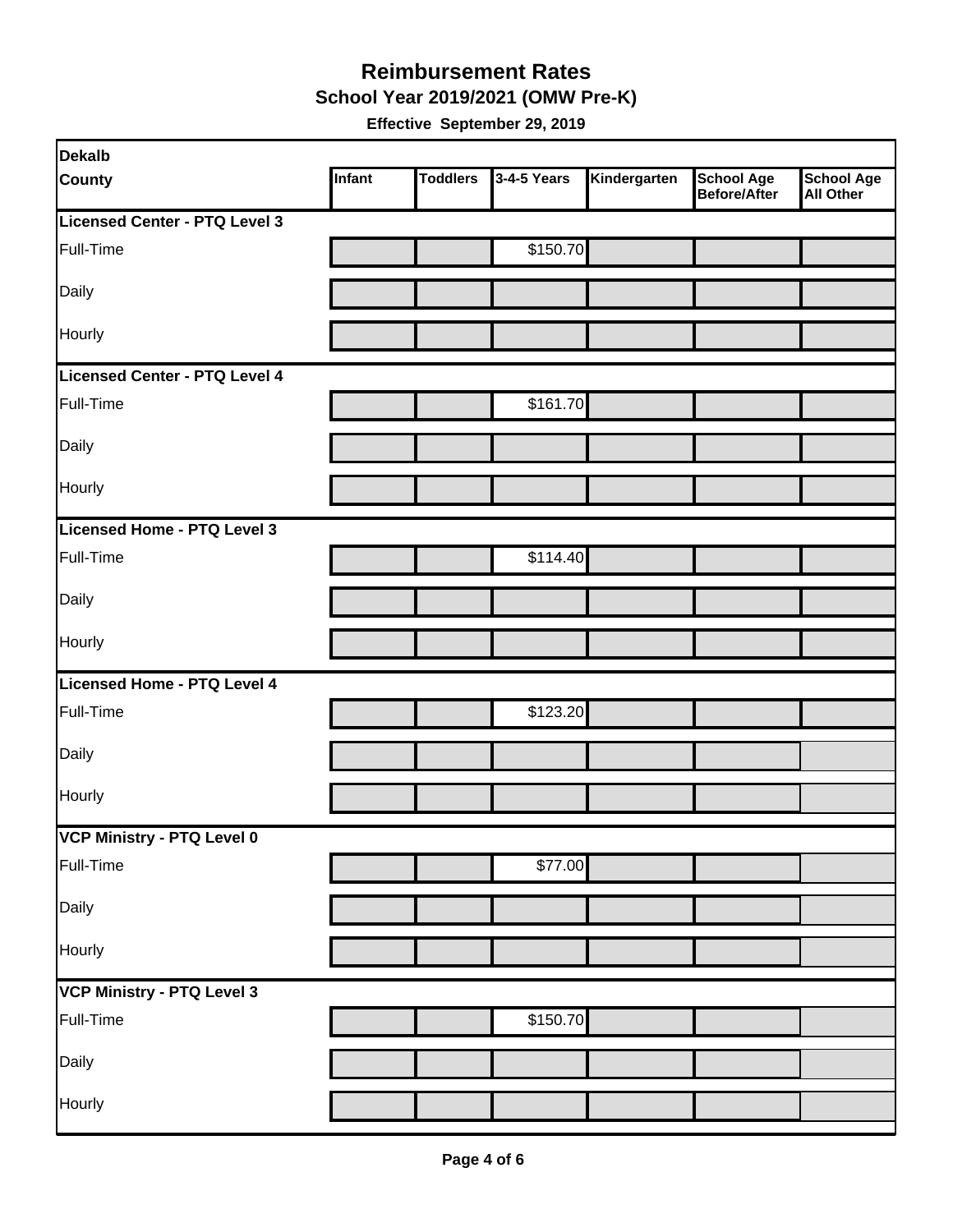#### **Reimbursement Rates School Year 2019/2021 (OMW Pre-K)**

| <b>Dekalb</b>                 |        |                 |             |              |                                          |                         |
|-------------------------------|--------|-----------------|-------------|--------------|------------------------------------------|-------------------------|
| <b>County</b>                 | Infant | <b>Toddlers</b> | 3-4-5 Years | Kindergarten | <b>School Age</b><br><b>Before/After</b> | School Age<br>All Other |
| Licensed Center - PTQ Level 3 |        |                 |             |              |                                          |                         |
| Full-Time                     |        |                 | \$150.70    |              |                                          |                         |
| Daily                         |        |                 |             |              |                                          |                         |
| Hourly                        |        |                 |             |              |                                          |                         |
| Licensed Center - PTQ Level 4 |        |                 |             |              |                                          |                         |
| Full-Time                     |        |                 | \$161.70    |              |                                          |                         |
| Daily                         |        |                 |             |              |                                          |                         |
| Hourly                        |        |                 |             |              |                                          |                         |
| Licensed Home - PTQ Level 3   |        |                 |             |              |                                          |                         |
| Full-Time                     |        |                 | \$114.40    |              |                                          |                         |
| Daily                         |        |                 |             |              |                                          |                         |
| Hourly                        |        |                 |             |              |                                          |                         |
| Licensed Home - PTQ Level 4   |        |                 |             |              |                                          |                         |
| Full-Time                     |        |                 | \$123.20    |              |                                          |                         |
| Daily                         |        |                 |             |              |                                          |                         |
| Hourly                        |        |                 |             |              |                                          |                         |
| VCP Ministry - PTQ Level 0    |        |                 |             |              |                                          |                         |
| Full-Time                     |        |                 | \$77.00     |              |                                          |                         |
| Daily                         |        |                 |             |              |                                          |                         |
| Hourly                        |        |                 |             |              |                                          |                         |
| VCP Ministry - PTQ Level 3    |        |                 |             |              |                                          |                         |
| Full-Time                     |        |                 | \$150.70    |              |                                          |                         |
| Daily                         |        |                 |             |              |                                          |                         |
| Hourly                        |        |                 |             |              |                                          |                         |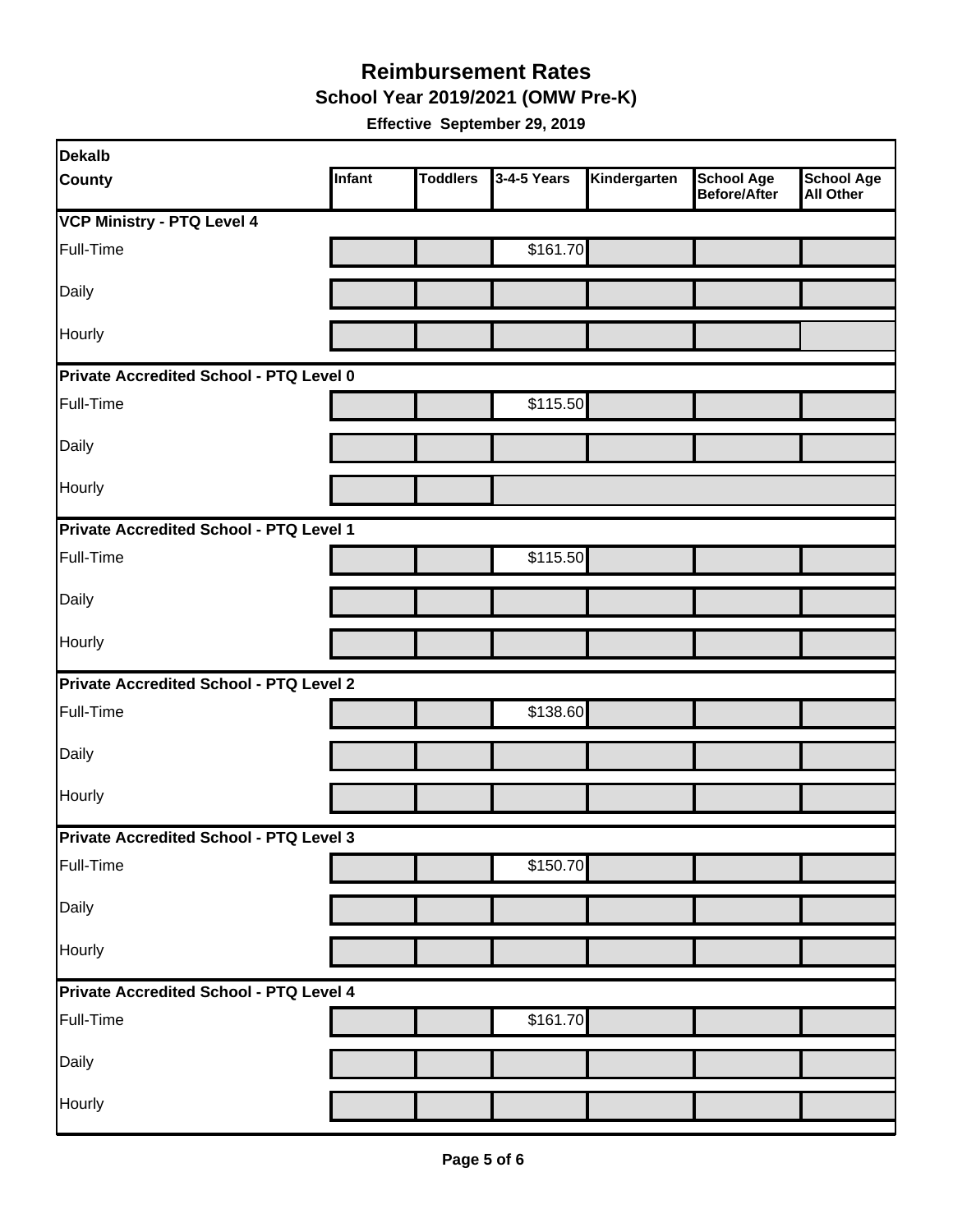**School Year 2019/2021 (OMW Pre-K)** 

| Dekalb                                         |        |                 |             |              |                                          |                                       |
|------------------------------------------------|--------|-----------------|-------------|--------------|------------------------------------------|---------------------------------------|
| <b>County</b>                                  | Infant | <b>Toddlers</b> | 3-4-5 Years | Kindergarten | <b>School Age</b><br><b>Before/After</b> | <b>School Age</b><br><b>All Other</b> |
| <b>VCP Ministry - PTQ Level 4</b>              |        |                 |             |              |                                          |                                       |
| Full-Time                                      |        |                 | \$161.70    |              |                                          |                                       |
| Daily                                          |        |                 |             |              |                                          |                                       |
| Hourly                                         |        |                 |             |              |                                          |                                       |
| Private Accredited School - PTQ Level 0        |        |                 |             |              |                                          |                                       |
| Full-Time                                      |        |                 | \$115.50    |              |                                          |                                       |
| Daily                                          |        |                 |             |              |                                          |                                       |
| Hourly                                         |        |                 |             |              |                                          |                                       |
| Private Accredited School - PTQ Level 1        |        |                 |             |              |                                          |                                       |
| Full-Time                                      |        |                 | \$115.50    |              |                                          |                                       |
| Daily                                          |        |                 |             |              |                                          |                                       |
| Hourly                                         |        |                 |             |              |                                          |                                       |
| <b>Private Accredited School - PTQ Level 2</b> |        |                 |             |              |                                          |                                       |
| Full-Time                                      |        |                 | \$138.60    |              |                                          |                                       |
| Daily                                          |        |                 |             |              |                                          |                                       |
| Hourly                                         |        |                 |             |              |                                          |                                       |
| Private Accredited School - PTQ Level 3        |        |                 |             |              |                                          |                                       |
| Full-Time                                      |        |                 | \$150.70    |              |                                          |                                       |
| Daily                                          |        |                 |             |              |                                          |                                       |
| Hourly                                         |        |                 |             |              |                                          |                                       |
| Private Accredited School - PTQ Level 4        |        |                 |             |              |                                          |                                       |
| Full-Time                                      |        |                 | \$161.70    |              |                                          |                                       |
| Daily                                          |        |                 |             |              |                                          |                                       |
| Hourly                                         |        |                 |             |              |                                          |                                       |